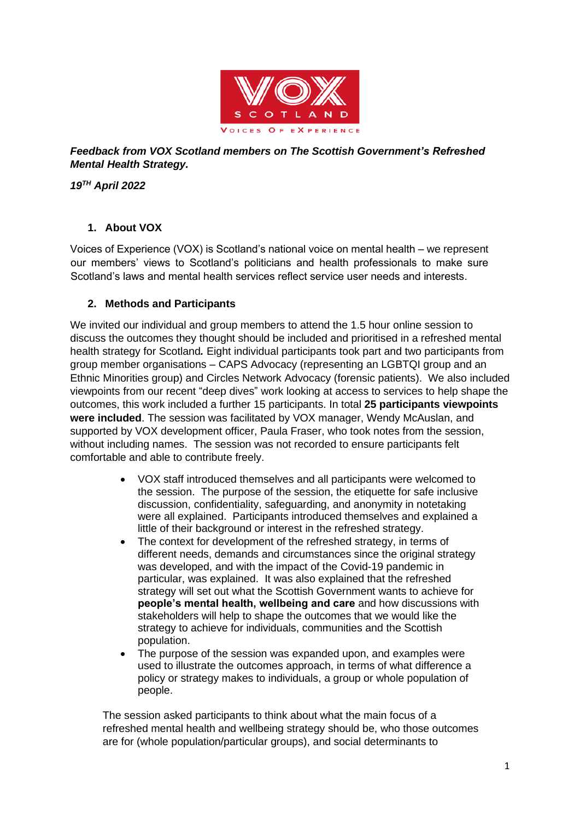

## *Feedback from VOX Scotland members on The Scottish Government's Refreshed Mental Health Strategy.*

*19TH April 2022*

# **1. About VOX**

Voices of Experience (VOX) is Scotland's national voice on mental health – we represent our members' views to Scotland's politicians and health professionals to make sure Scotland's laws and mental health services reflect service user needs and interests.

# **2. Methods and Participants**

We invited our individual and group members to attend the 1.5 hour online session to discuss the outcomes they thought should be included and prioritised in a refreshed mental health strategy for Scotland*.* Eight individual participants took part and two participants from group member organisations – CAPS Advocacy (representing an LGBTQI group and an Ethnic Minorities group) and Circles Network Advocacy (forensic patients). We also included viewpoints from our recent "deep dives" work looking at access to services to help shape the outcomes, this work included a further 15 participants. In total **25 participants viewpoints were included**. The session was facilitated by VOX manager, Wendy McAuslan, and supported by VOX development officer, Paula Fraser, who took notes from the session, without including names. The session was not recorded to ensure participants felt comfortable and able to contribute freely.

- VOX staff introduced themselves and all participants were welcomed to the session. The purpose of the session, the etiquette for safe inclusive discussion, confidentiality, safeguarding, and anonymity in notetaking were all explained. Participants introduced themselves and explained a little of their background or interest in the refreshed strategy.
- The context for development of the refreshed strategy, in terms of different needs, demands and circumstances since the original strategy was developed, and with the impact of the Covid-19 pandemic in particular, was explained. It was also explained that the refreshed strategy will set out what the Scottish Government wants to achieve for **people's mental health, wellbeing and care** and how discussions with stakeholders will help to shape the outcomes that we would like the strategy to achieve for individuals, communities and the Scottish population.
- The purpose of the session was expanded upon, and examples were used to illustrate the outcomes approach, in terms of what difference a policy or strategy makes to individuals, a group or whole population of people.

The session asked participants to think about what the main focus of a refreshed mental health and wellbeing strategy should be, who those outcomes are for (whole population/particular groups), and social determinants to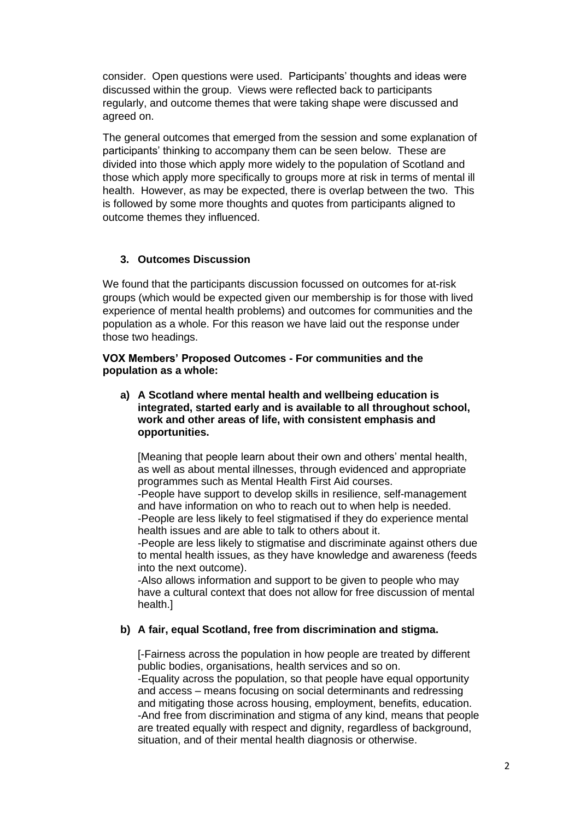consider. Open questions were used. Participants' thoughts and ideas were discussed within the group. Views were reflected back to participants regularly, and outcome themes that were taking shape were discussed and agreed on.

The general outcomes that emerged from the session and some explanation of participants' thinking to accompany them can be seen below. These are divided into those which apply more widely to the population of Scotland and those which apply more specifically to groups more at risk in terms of mental ill health. However, as may be expected, there is overlap between the two. This is followed by some more thoughts and quotes from participants aligned to outcome themes they influenced.

## **3. Outcomes Discussion**

We found that the participants discussion focussed on outcomes for at-risk groups (which would be expected given our membership is for those with lived experience of mental health problems) and outcomes for communities and the population as a whole. For this reason we have laid out the response under those two headings.

**VOX Members' Proposed Outcomes - For communities and the population as a whole:**

**a) A Scotland where mental health and wellbeing education is integrated, started early and is available to all throughout school, work and other areas of life, with consistent emphasis and opportunities.** 

[Meaning that people learn about their own and others' mental health, as well as about mental illnesses, through evidenced and appropriate programmes such as Mental Health First Aid courses.

-People have support to develop skills in resilience, self-management and have information on who to reach out to when help is needed. -People are less likely to feel stigmatised if they do experience mental health issues and are able to talk to others about it.

-People are less likely to stigmatise and discriminate against others due to mental health issues, as they have knowledge and awareness (feeds into the next outcome).

-Also allows information and support to be given to people who may have a cultural context that does not allow for free discussion of mental health.]

## **b) A fair, equal Scotland, free from discrimination and stigma.**

[-Fairness across the population in how people are treated by different public bodies, organisations, health services and so on.

-Equality across the population, so that people have equal opportunity and access – means focusing on social determinants and redressing and mitigating those across housing, employment, benefits, education. -And free from discrimination and stigma of any kind, means that people are treated equally with respect and dignity, regardless of background, situation, and of their mental health diagnosis or otherwise.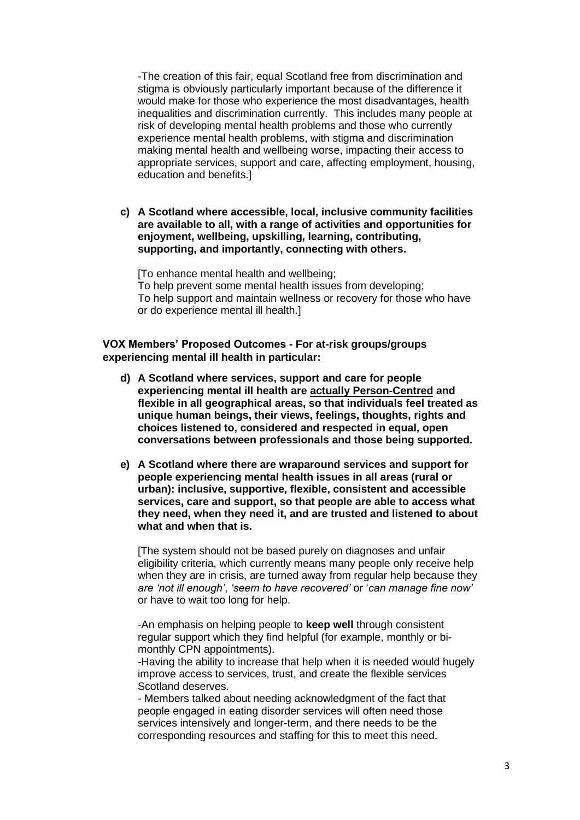-The creation of this fair, equal Scotland free from discrimination and stigma is obviously particularly important because of the difference it would make for those who experience the most disadvantages, health inequalities and discrimination currently. This includes many people at risk of developing mental health problems and those who currently experience mental health problems, with stigma and discrimination making mental health and wellbeing worse, impacting their access to appropriate services, support and care, affecting employment, housing, education and benefits.]

**c) A Scotland where accessible, local, inclusive community facilities are available to all, with a range of activities and opportunities for enjoyment, wellbeing, upskilling, learning, contributing, supporting, and importantly, connecting with others.**

[To enhance mental health and wellbeing; To help prevent some mental health issues from developing; To help support and maintain wellness or recovery for those who have or do experience mental ill health.]

**VOX Members' Proposed Outcomes - For at-risk groups/groups experiencing mental ill health in particular:** 

- **d) A Scotland where services, support and care for people experiencing mental ill health are actually Person-Centred and flexible in all geographical areas, so that individuals feel treated as unique human beings, their views, feelings, thoughts, rights and choices listened to, considered and respected in equal, open conversations between professionals and those being supported.**
- **e) A Scotland where there are wraparound services and support for people experiencing mental health issues in all areas (rural or urban): inclusive, supportive, flexible, consistent and accessible services, care and support, so that people are able to access what they need, when they need it, and are trusted and listened to about what and when that is.**

[The system should not be based purely on diagnoses and unfair eligibility criteria, which currently means many people only receive help when they are in crisis, are turned away from regular help because they *are 'not ill enough'*, *'seem to have recovered'* or '*can manage fine now'* or have to wait too long for help.

-An emphasis on helping people to **keep well** through consistent regular support which they find helpful (for example, monthly or bimonthly CPN appointments).

-Having the ability to increase that help when it is needed would hugely improve access to services, trust, and create the flexible services Scotland deserves.

- Members talked about needing acknowledgment of the fact that people engaged in eating disorder services will often need those services intensively and longer-term, and there needs to be the corresponding resources and staffing for this to meet this need.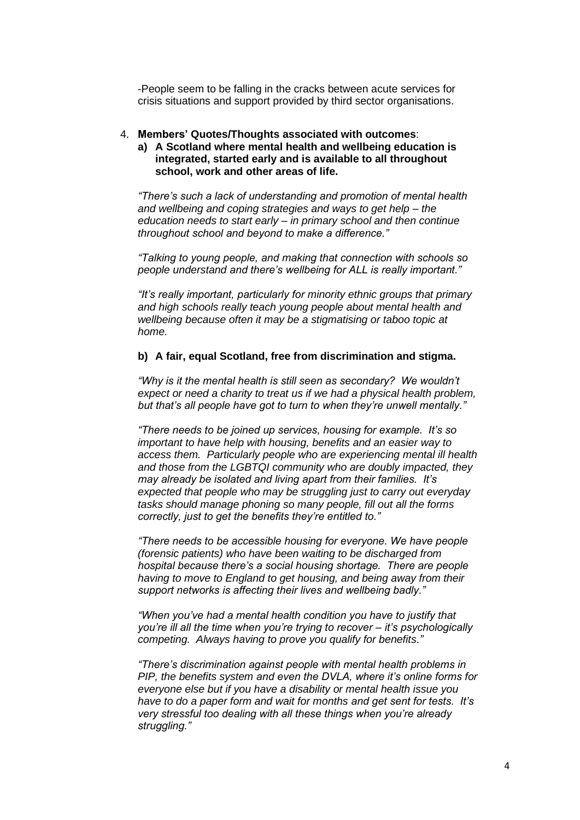-People seem to be falling in the cracks between acute services for crisis situations and support provided by third sector organisations.

#### 4. **Members' Quotes/Thoughts associated with outcomes**:

### **a) A Scotland where mental health and wellbeing education is integrated, started early and is available to all throughout school, work and other areas of life.**

*"There's such a lack of understanding and promotion of mental health and wellbeing and coping strategies and ways to get help – the education needs to start early – in primary school and then continue throughout school and beyond to make a difference."*

*"Talking to young people, and making that connection with schools so people understand and there's wellbeing for ALL is really important."*

*"It's really important, particularly for minority ethnic groups that primary and high schools really teach young people about mental health and wellbeing because often it may be a stigmatising or taboo topic at home.*

#### **b) A fair, equal Scotland, free from discrimination and stigma.**

*"Why is it the mental health is still seen as secondary? We wouldn't expect or need a charity to treat us if we had a physical health problem, but that's all people have got to turn to when they're unwell mentally."*

*"There needs to be joined up services, housing for example. It's so important to have help with housing, benefits and an easier way to access them. Particularly people who are experiencing mental ill health and those from the LGBTQI community who are doubly impacted, they may already be isolated and living apart from their families. It's expected that people who may be struggling just to carry out everyday tasks should manage phoning so many people, fill out all the forms correctly, just to get the benefits they're entitled to."*

*"There needs to be accessible housing for everyone. We have people (forensic patients) who have been waiting to be discharged from hospital because there's a social housing shortage. There are people having to move to England to get housing, and being away from their support networks is affecting their lives and wellbeing badly."*

*"When you've had a mental health condition you have to justify that you're ill all the time when you're trying to recover – it's psychologically competing. Always having to prove you qualify for benefits."*

*"There's discrimination against people with mental health problems in PIP, the benefits system and even the DVLA, where it's online forms for everyone else but if you have a disability or mental health issue you have to do a paper form and wait for months and get sent for tests. It's very stressful too dealing with all these things when you're already struggling."*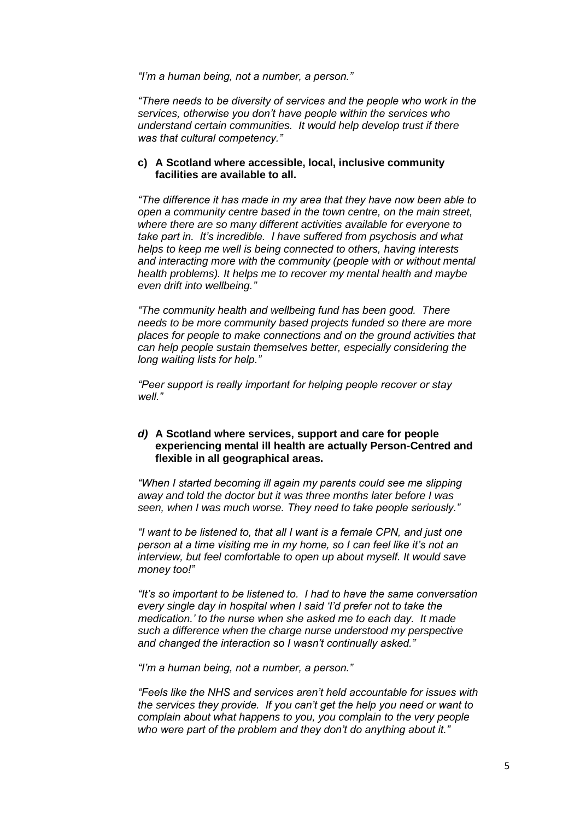*"I'm a human being, not a number, a person."*

*"There needs to be diversity of services and the people who work in the services, otherwise you don't have people within the services who understand certain communities. It would help develop trust if there was that cultural competency."*

#### **c) A Scotland where accessible, local, inclusive community facilities are available to all.**

*"The difference it has made in my area that they have now been able to open a community centre based in the town centre, on the main street, where there are so many different activities available for everyone to take part in. It's incredible. I have suffered from psychosis and what helps to keep me well is being connected to others, having interests and interacting more with the community (people with or without mental health problems). It helps me to recover my mental health and maybe even drift into wellbeing."*

*"The community health and wellbeing fund has been good. There needs to be more community based projects funded so there are more places for people to make connections and on the ground activities that can help people sustain themselves better, especially considering the long waiting lists for help."*

*"Peer support is really important for helping people recover or stay well."*

### *d)* **A Scotland where services, support and care for people experiencing mental ill health are actually Person-Centred and flexible in all geographical areas.**

*"When I started becoming ill again my parents could see me slipping away and told the doctor but it was three months later before I was seen, when I was much worse. They need to take people seriously."*

*"I want to be listened to, that all I want is a female CPN, and just one person at a time visiting me in my home, so I can feel like it's not an interview, but feel comfortable to open up about myself. It would save money too!"*

*"It's so important to be listened to. I had to have the same conversation every single day in hospital when I said 'I'd prefer not to take the medication.' to the nurse when she asked me to each day. It made such a difference when the charge nurse understood my perspective and changed the interaction so I wasn't continually asked."*

*"I'm a human being, not a number, a person."*

*"Feels like the NHS and services aren't held accountable for issues with the services they provide. If you can't get the help you need or want to complain about what happens to you, you complain to the very people who were part of the problem and they don't do anything about it."*